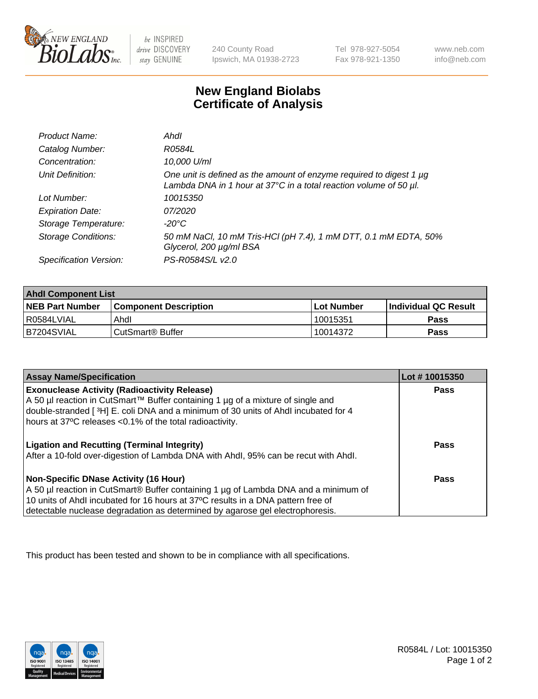

be INSPIRED drive DISCOVERY stay GENUINE

240 County Road Ipswich, MA 01938-2723 Tel 978-927-5054 Fax 978-921-1350

www.neb.com info@neb.com

## **New England Biolabs Certificate of Analysis**

| Product Name:              | Ahdl                                                                                                                                     |
|----------------------------|------------------------------------------------------------------------------------------------------------------------------------------|
| Catalog Number:            | R0584L                                                                                                                                   |
| Concentration:             | 10,000 U/ml                                                                                                                              |
| Unit Definition:           | One unit is defined as the amount of enzyme required to digest 1 µg<br>Lambda DNA in 1 hour at 37°C in a total reaction volume of 50 µl. |
| Lot Number:                | 10015350                                                                                                                                 |
| <b>Expiration Date:</b>    | 07/2020                                                                                                                                  |
| Storage Temperature:       | -20°C                                                                                                                                    |
| <b>Storage Conditions:</b> | 50 mM NaCl, 10 mM Tris-HCl (pH 7.4), 1 mM DTT, 0.1 mM EDTA, 50%<br>Glycerol, 200 µg/ml BSA                                               |
| Specification Version:     | PS-R0584S/L v2.0                                                                                                                         |

| <b>Ahdl Component List</b> |                              |            |                             |  |
|----------------------------|------------------------------|------------|-----------------------------|--|
| <b>NEB Part Number</b>     | <b>Component Description</b> | Lot Number | <b>Individual QC Result</b> |  |
| l R0584LVIAL               | Ahdl                         | 10015351   | Pass                        |  |
| B7204SVIAL                 | CutSmart <sup>®</sup> Buffer | 10014372   | Pass                        |  |

| <b>Assay Name/Specification</b>                                                     | Lot #10015350 |
|-------------------------------------------------------------------------------------|---------------|
| <b>Exonuclease Activity (Radioactivity Release)</b>                                 | <b>Pass</b>   |
| A 50 µl reaction in CutSmart™ Buffer containing 1 µg of a mixture of single and     |               |
| double-stranded [3H] E. coli DNA and a minimum of 30 units of Ahdl incubated for 4  |               |
| hours at 37°C releases <0.1% of the total radioactivity.                            |               |
| <b>Ligation and Recutting (Terminal Integrity)</b>                                  | <b>Pass</b>   |
| After a 10-fold over-digestion of Lambda DNA with Ahdl, 95% can be recut with Ahdl. |               |
| Non-Specific DNase Activity (16 Hour)                                               | <b>Pass</b>   |
| A 50 µl reaction in CutSmart® Buffer containing 1 µg of Lambda DNA and a minimum of |               |
| 10 units of Ahdl incubated for 16 hours at 37°C results in a DNA pattern free of    |               |
| detectable nuclease degradation as determined by agarose gel electrophoresis.       |               |

This product has been tested and shown to be in compliance with all specifications.